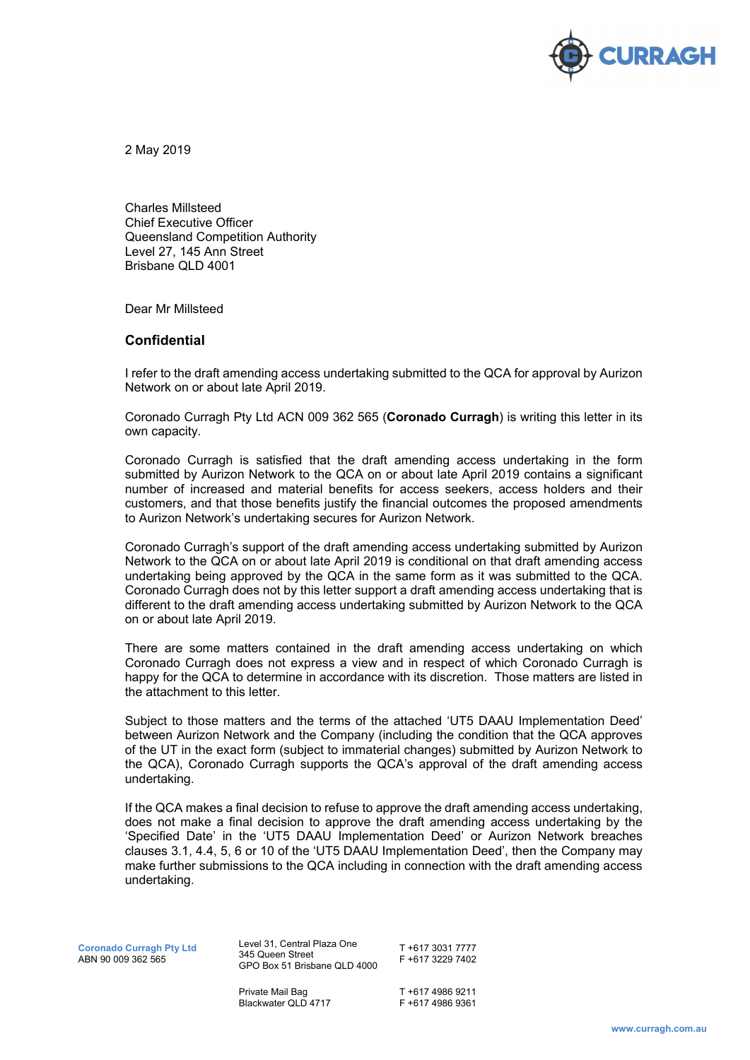

2 May 2019

Charles Millsteed Chief Executive Officer Queensland Competition Authority Level 27, 145 Ann Street Brisbane QLD 4001

Dear Mr Millsteed

## **Confidential**

I refer to the draft amending access undertaking submitted to the QCA for approval by Aurizon Network on or about late April 2019.

Coronado Curragh Pty Ltd ACN 009 362 565 (**Coronado Curragh**) is writing this letter in its own capacity.

Coronado Curragh is satisfied that the draft amending access undertaking in the form submitted by Aurizon Network to the QCA on or about late April 2019 contains a significant number of increased and material benefits for access seekers, access holders and their customers, and that those benefits justify the financial outcomes the proposed amendments to Aurizon Network's undertaking secures for Aurizon Network.

Coronado Curragh's support of the draft amending access undertaking submitted by Aurizon Network to the QCA on or about late April 2019 is conditional on that draft amending access undertaking being approved by the QCA in the same form as it was submitted to the QCA. Coronado Curragh does not by this letter support a draft amending access undertaking that is different to the draft amending access undertaking submitted by Aurizon Network to the QCA on or about late April 2019.

There are some matters contained in the draft amending access undertaking on which Coronado Curragh does not express a view and in respect of which Coronado Curragh is happy for the QCA to determine in accordance with its discretion. Those matters are listed in the attachment to this letter.

Subject to those matters and the terms of the attached 'UT5 DAAU Implementation Deed' between Aurizon Network and the Company (including the condition that the QCA approves of the UT in the exact form (subject to immaterial changes) submitted by Aurizon Network to the QCA), Coronado Curragh supports the QCA's approval of the draft amending access undertaking.

If the QCA makes a final decision to refuse to approve the draft amending access undertaking, does not make a final decision to approve the draft amending access undertaking by the 'Specified Date' in the 'UT5 DAAU Implementation Deed' or Aurizon Network breaches clauses 3.1, 4.4, 5, 6 or 10 of the 'UT5 DAAU Implementation Deed', then the Company may make further submissions to the QCA including in connection with the draft amending access undertaking.

**Coronado Curragh Pty Ltd**  ABN 90 009 362 565

Level 31, Central Plaza One 345 Queen Street GPO Box 51 Brisbane QLD 4000

T +617 3031 7777 F +617 3229 7402

Private Mail Bag Blackwater QLD 4717 T +617 4986 9211 F +617 4986 9361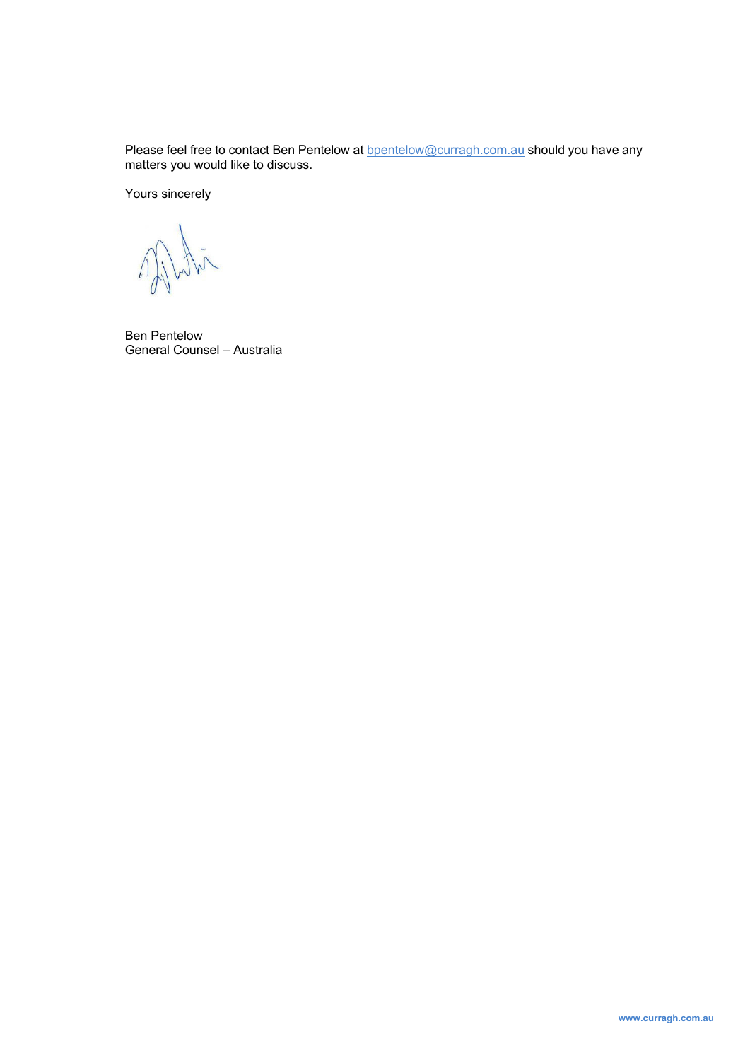Please feel free to contact Ben Pentelow at **bpentelow@curragh.com.au** should you have any matters you would like to discuss.

Yours sincerely

intention

Ben Pentelow General Counsel – Australia